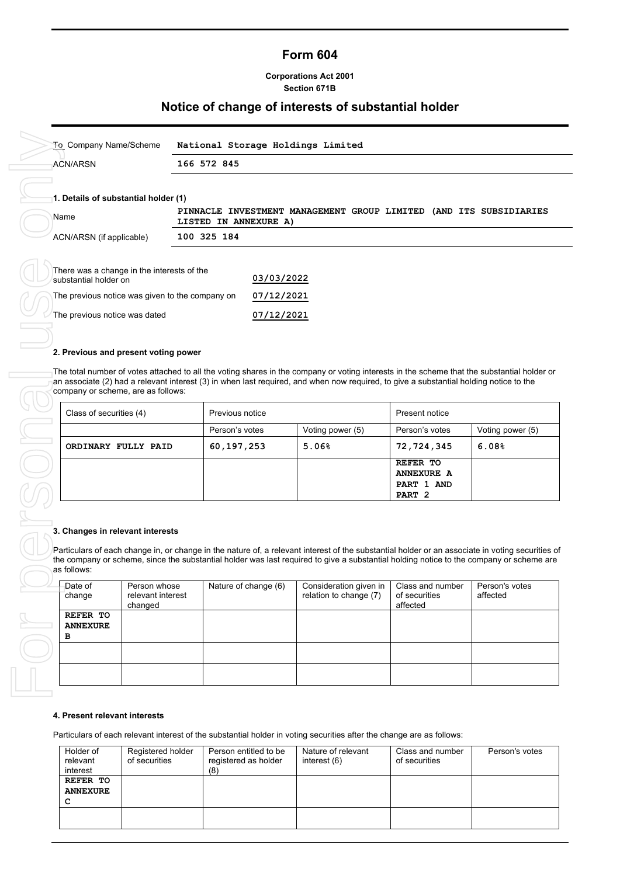#### **Form 604**

#### **Corporations Act 2001 Section 671B**

## **Notice of change of interests of substantial holder**

| To Company Name/Scheme                                              | National Storage Holdings Limited                                                              |  |  |  |  |
|---------------------------------------------------------------------|------------------------------------------------------------------------------------------------|--|--|--|--|
| 166 572 845<br><b>ACN/ARSN</b>                                      |                                                                                                |  |  |  |  |
| 1. Details of substantial holder (1)                                |                                                                                                |  |  |  |  |
| Name                                                                | PINNACLE INVESTMENT MANAGEMENT GROUP LIMITED<br>(AND ITS SUBSIDIARIES<br>LISTED IN ANNEXURE A) |  |  |  |  |
| ACN/ARSN (if applicable)                                            | 100 325 184                                                                                    |  |  |  |  |
| There was a change in the interests of the<br>substantial holder on | 03/03/2022                                                                                     |  |  |  |  |
| The previous notice was given to the company on                     | 07/12/2021                                                                                     |  |  |  |  |

#### **2. Previous and present voting power**

The total number of votes attached to all the voting shares in the company or voting interests in the scheme that the substantial holder or company or scheme, are as follows:

| an associate (2) had a relevant interest (3) in when last required, and when now required, to give a substantial holding notice to the<br>company or scheme, are as follows: |                 |                  |                                 |                  |
|------------------------------------------------------------------------------------------------------------------------------------------------------------------------------|-----------------|------------------|---------------------------------|------------------|
| Class of securities (4)                                                                                                                                                      | Previous notice |                  | Present notice                  |                  |
|                                                                                                                                                                              | Person's votes  | Voting power (5) | Person's votes                  | Voting power (5) |
| ORDINARY FULLY PAID                                                                                                                                                          | 60,197,253      | 5.06%            | 72,724,345                      | 6.08%            |
|                                                                                                                                                                              |                 |                  | REFER TO<br><b>ANNEXURE A</b>   |                  |
|                                                                                                                                                                              |                 |                  | PART 1 AND<br>PART <sub>2</sub> |                  |
|                                                                                                                                                                              |                 |                  |                                 |                  |

| 3. Changes in relevant interests |                                              |                      |                                                                                                                                                                                                                                                                                             |                                               |                            |
|----------------------------------|----------------------------------------------|----------------------|---------------------------------------------------------------------------------------------------------------------------------------------------------------------------------------------------------------------------------------------------------------------------------------------|-----------------------------------------------|----------------------------|
| as follows:                      |                                              |                      | Particulars of each change in, or change in the nature of, a relevant interest of the substantial holder or an associate in voting securities of<br>the company or scheme, since the substantial holder was last required to give a substantial holding notice to the company or scheme are |                                               |                            |
| Date of<br>change                | Person whose<br>relevant interest<br>changed | Nature of change (6) | Consideration given in<br>relation to change (7)                                                                                                                                                                                                                                            | Class and number<br>of securities<br>affected | Person's votes<br>affected |
| REFER TO<br><b>ANNEXURE</b><br>в |                                              |                      |                                                                                                                                                                                                                                                                                             |                                               |                            |
|                                  |                                              |                      |                                                                                                                                                                                                                                                                                             |                                               |                            |
|                                  |                                              |                      |                                                                                                                                                                                                                                                                                             |                                               |                            |

#### **4. Present relevant interests**

Particulars of each relevant interest of the substantial holder in voting securities after the change are as follows:

| Holder of       | Registered holder | Person entitled to be | Nature of relevant | Class and number | Person's votes |
|-----------------|-------------------|-----------------------|--------------------|------------------|----------------|
| relevant        | of securities     | registered as holder  | interest (6)       | of securities    |                |
| interest        |                   | (8)                   |                    |                  |                |
| REFER TO        |                   |                       |                    |                  |                |
| <b>ANNEXURE</b> |                   |                       |                    |                  |                |
| с               |                   |                       |                    |                  |                |
|                 |                   |                       |                    |                  |                |
|                 |                   |                       |                    |                  |                |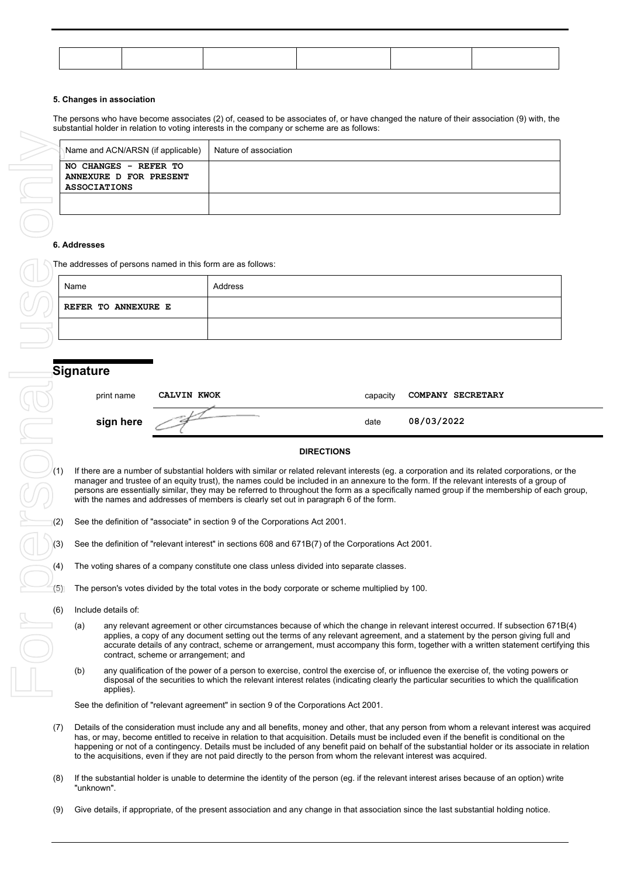#### **5. Changes in association**

The persons who have become associates (2) of, ceased to be associates of, or have changed the nature of their association (9) with, the substantial holder in relation to voting interests in the company or scheme are as follows:

|                                                    | Name and ACN/ARSN (if applicable)                           |                                      | Nature of association                                                                               |                   |          |                                                                                                                                                                                                                                                                                                                                                                                                                                                                                                                                                    |  |
|----------------------------------------------------|-------------------------------------------------------------|--------------------------------------|-----------------------------------------------------------------------------------------------------|-------------------|----------|----------------------------------------------------------------------------------------------------------------------------------------------------------------------------------------------------------------------------------------------------------------------------------------------------------------------------------------------------------------------------------------------------------------------------------------------------------------------------------------------------------------------------------------------------|--|
|                                                    | NO CHANGES - REFER TO                                       |                                      |                                                                                                     |                   |          |                                                                                                                                                                                                                                                                                                                                                                                                                                                                                                                                                    |  |
|                                                    | ANNEXURE D FOR PRESENT<br><b>ASSOCIATIONS</b>               |                                      |                                                                                                     |                   |          |                                                                                                                                                                                                                                                                                                                                                                                                                                                                                                                                                    |  |
|                                                    |                                                             |                                      |                                                                                                     |                   |          |                                                                                                                                                                                                                                                                                                                                                                                                                                                                                                                                                    |  |
|                                                    |                                                             |                                      |                                                                                                     |                   |          |                                                                                                                                                                                                                                                                                                                                                                                                                                                                                                                                                    |  |
|                                                    |                                                             |                                      |                                                                                                     |                   |          |                                                                                                                                                                                                                                                                                                                                                                                                                                                                                                                                                    |  |
|                                                    | 6. Addresses                                                |                                      |                                                                                                     |                   |          |                                                                                                                                                                                                                                                                                                                                                                                                                                                                                                                                                    |  |
|                                                    | The addresses of persons named in this form are as follows: |                                      |                                                                                                     |                   |          |                                                                                                                                                                                                                                                                                                                                                                                                                                                                                                                                                    |  |
|                                                    |                                                             |                                      | Address                                                                                             |                   |          |                                                                                                                                                                                                                                                                                                                                                                                                                                                                                                                                                    |  |
|                                                    | Name                                                        |                                      |                                                                                                     |                   |          |                                                                                                                                                                                                                                                                                                                                                                                                                                                                                                                                                    |  |
|                                                    | <b>REFER TO ANNEXURE E</b>                                  |                                      |                                                                                                     |                   |          |                                                                                                                                                                                                                                                                                                                                                                                                                                                                                                                                                    |  |
|                                                    |                                                             |                                      |                                                                                                     |                   |          |                                                                                                                                                                                                                                                                                                                                                                                                                                                                                                                                                    |  |
|                                                    |                                                             |                                      |                                                                                                     |                   |          |                                                                                                                                                                                                                                                                                                                                                                                                                                                                                                                                                    |  |
|                                                    |                                                             |                                      |                                                                                                     |                   |          |                                                                                                                                                                                                                                                                                                                                                                                                                                                                                                                                                    |  |
|                                                    | <b>Signature</b>                                            |                                      |                                                                                                     |                   |          |                                                                                                                                                                                                                                                                                                                                                                                                                                                                                                                                                    |  |
|                                                    | print name                                                  | <b>CALVIN KWOK</b>                   |                                                                                                     |                   | capacity | COMPANY SECRETARY                                                                                                                                                                                                                                                                                                                                                                                                                                                                                                                                  |  |
|                                                    |                                                             |                                      |                                                                                                     |                   |          |                                                                                                                                                                                                                                                                                                                                                                                                                                                                                                                                                    |  |
|                                                    | sign here                                                   |                                      |                                                                                                     |                   | date     | 08/03/2022                                                                                                                                                                                                                                                                                                                                                                                                                                                                                                                                         |  |
|                                                    |                                                             |                                      |                                                                                                     |                   |          |                                                                                                                                                                                                                                                                                                                                                                                                                                                                                                                                                    |  |
|                                                    |                                                             |                                      |                                                                                                     | <b>DIRECTIONS</b> |          |                                                                                                                                                                                                                                                                                                                                                                                                                                                                                                                                                    |  |
| (1)                                                |                                                             |                                      |                                                                                                     |                   |          | If there are a number of substantial holders with similar or related relevant interests (eg. a corporation and its related corporations, c<br>manager and trustee of an equity trust), the names could be included in an annexure to the form. If the relevant interests of a group<br>persons are essentially similar, they may be referred to throughout the form as a specifically named group if the membership of eacl                                                                                                                        |  |
|                                                    |                                                             |                                      | with the names and addresses of members is clearly set out in paragraph 6 of the form.              |                   |          |                                                                                                                                                                                                                                                                                                                                                                                                                                                                                                                                                    |  |
| (2)                                                |                                                             |                                      | See the definition of "associate" in section 9 of the Corporations Act 2001.                        |                   |          |                                                                                                                                                                                                                                                                                                                                                                                                                                                                                                                                                    |  |
| (3)                                                |                                                             |                                      | See the definition of "relevant interest" in sections 608 and 671B(7) of the Corporations Act 2001. |                   |          |                                                                                                                                                                                                                                                                                                                                                                                                                                                                                                                                                    |  |
| (4)                                                |                                                             |                                      | The voting shares of a company constitute one class unless divided into separate classes.           |                   |          |                                                                                                                                                                                                                                                                                                                                                                                                                                                                                                                                                    |  |
| (5)                                                |                                                             |                                      | The person's votes divided by the total votes in the body corporate or scheme multiplied by 100.    |                   |          |                                                                                                                                                                                                                                                                                                                                                                                                                                                                                                                                                    |  |
| (6)                                                | Include details of:                                         |                                      |                                                                                                     |                   |          |                                                                                                                                                                                                                                                                                                                                                                                                                                                                                                                                                    |  |
| $\begin{array}{c} \bigcirc \\ \square \end{array}$ | (a)                                                         | contract, scheme or arrangement; and |                                                                                                     |                   |          | any relevant agreement or other circumstances because of which the change in relevant interest occurred. If subsection 671<br>applies, a copy of any document setting out the terms of any relevant agreement, and a statement by the person giving full a<br>accurate details of any contract, scheme or arrangement, must accompany this form, together with a written statement certif                                                                                                                                                          |  |
|                                                    | (b)<br>applies).                                            |                                      |                                                                                                     |                   |          | any qualification of the power of a person to exercise, control the exercise of, or influence the exercise of, the voting powers<br>disposal of the securities to which the relevant interest relates (indicating clearly the particular securities to which the qualific                                                                                                                                                                                                                                                                          |  |
|                                                    |                                                             |                                      | See the definition of "relevant agreement" in section 9 of the Corporations Act 2001.               |                   |          |                                                                                                                                                                                                                                                                                                                                                                                                                                                                                                                                                    |  |
| (7)                                                |                                                             |                                      |                                                                                                     |                   |          | Details of the consideration must include any and all benefits, money and other, that any person from whom a relevant interest was<br>has, or may, become entitled to receive in relation to that acquisition. Details must be included even if the benefit is conditional on th<br>happening or not of a contingency. Details must be included of any benefit paid on behalf of the substantial holder or its associate in<br>to the acquisitions, even if they are not paid directly to the person from whom the relevant interest was acquired. |  |
| (8)                                                | "unknown".                                                  |                                      |                                                                                                     |                   |          | If the substantial holder is unable to determine the identity of the person (eg. if the relevant interest arises because of an option) writ                                                                                                                                                                                                                                                                                                                                                                                                        |  |
| (9)                                                |                                                             |                                      |                                                                                                     |                   |          | Give details, if appropriate, of the present association and any change in that association since the last substantial holding notice.                                                                                                                                                                                                                                                                                                                                                                                                             |  |

#### **6. Addresses**

| Name                       | Address |
|----------------------------|---------|
| <b>REFER TO ANNEXURE E</b> |         |
|                            |         |

| print name | CALVIN KWOK | capacity | COMPANY SECRETARY |
|------------|-------------|----------|-------------------|
| sign here  |             | date     | 08/03/2022        |

#### **DIRECTIONS**

If there are a number of substantial holders with similar or related relevant interests (eg. a corporation and its related corporations, or the manager and trustee of an equity trust), the names could be included in an annexure to the form. If the relevant interests of a group of persons are essentially similar, they may be referred to throughout the form as a specifically named group if the membership of each group, with the names and addresses of members is clearly set out in paragraph 6 of the form.

- See the definition of "associate" in section 9 of the Corporations Act 2001.
- See the definition of "relevant interest" in sections 608 and 671B(7) of the Corporations Act 2001.
- (4) The voting shares of a company constitute one class unless divided into separate classes.
- $(5)$  The person's votes divided by the total votes in the body corporate or scheme multiplied by 100.
- (6) Include details of:
	- (a) any relevant agreement or other circumstances because of which the change in relevant interest occurred. If subsection 671B(4) applies, a copy of any document setting out the terms of any relevant agreement, and a statement by the person giving full and accurate details of any contract, scheme or arrangement, must accompany this form, together with a written statement certifying this contract, scheme or arrangement; and
	- (b) any qualification of the power of a person to exercise, control the exercise of, or influence the exercise of, the voting powers or disposal of the securities to which the relevant interest relates (indicating clearly the particular securities to which the qualification applies).

- (7) Details of the consideration must include any and all benefits, money and other, that any person from whom a relevant interest was acquired has, or may, become entitled to receive in relation to that acquisition. Details must be included even if the benefit is conditional on the happening or not of a contingency. Details must be included of any benefit paid on behalf of the substantial holder or its associate in relation to the acquisitions, even if they are not paid directly to the person from whom the relevant interest was acquired.
- (8) If the substantial holder is unable to determine the identity of the person (eg. if the relevant interest arises because of an option) write "unknown".
-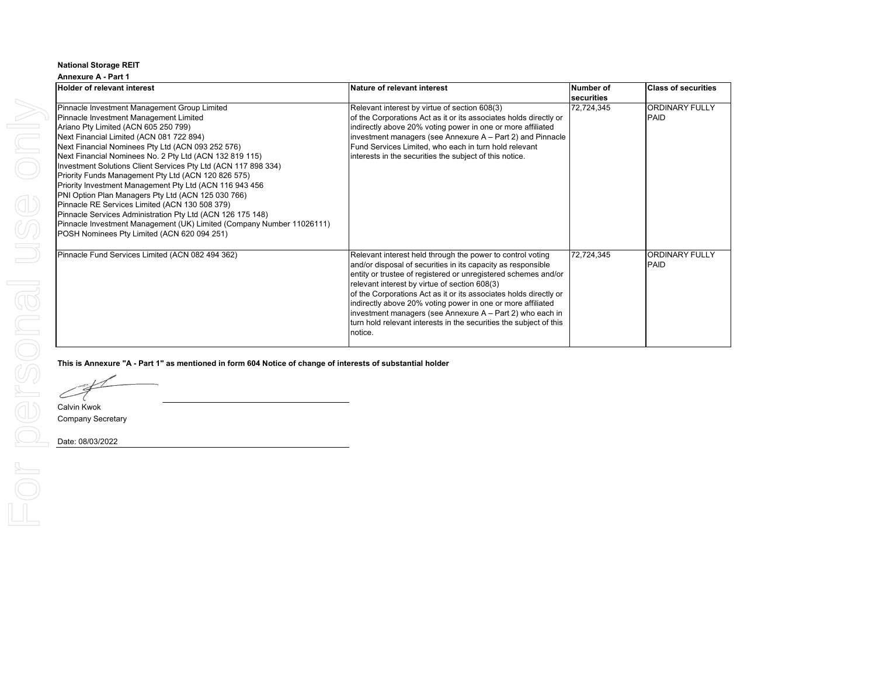| <b>Annexure A - Part 1</b>                                                                                                                                                                                                                                                                                                                                                                                                                                                                                                                                                                                                                                                                                                                                                   |                                                                                                                                                                                                                                                                                                                                                                                                                                                                                                                                 |                         |                                      |  |  |  |  |
|------------------------------------------------------------------------------------------------------------------------------------------------------------------------------------------------------------------------------------------------------------------------------------------------------------------------------------------------------------------------------------------------------------------------------------------------------------------------------------------------------------------------------------------------------------------------------------------------------------------------------------------------------------------------------------------------------------------------------------------------------------------------------|---------------------------------------------------------------------------------------------------------------------------------------------------------------------------------------------------------------------------------------------------------------------------------------------------------------------------------------------------------------------------------------------------------------------------------------------------------------------------------------------------------------------------------|-------------------------|--------------------------------------|--|--|--|--|
| <b>Holder of relevant interest</b>                                                                                                                                                                                                                                                                                                                                                                                                                                                                                                                                                                                                                                                                                                                                           | Nature of relevant interest                                                                                                                                                                                                                                                                                                                                                                                                                                                                                                     | Number of<br>securities | <b>Class of securities</b>           |  |  |  |  |
| Pinnacle Investment Management Group Limited<br>Pinnacle Investment Management Limited<br>Ariano Pty Limited (ACN 605 250 799)<br>Next Financial Limited (ACN 081 722 894)<br>Next Financial Nominees Pty Ltd (ACN 093 252 576)<br>Next Financial Nominees No. 2 Pty Ltd (ACN 132 819 115)<br>Investment Solutions Client Services Pty Ltd (ACN 117 898 334)<br>Priority Funds Management Pty Ltd (ACN 120 826 575)<br>Priority Investment Management Pty Ltd (ACN 116 943 456<br>PNI Option Plan Managers Pty Ltd (ACN 125 030 766)<br>Pinnacle RE Services Limited (ACN 130 508 379)<br>Pinnacle Services Administration Pty Ltd (ACN 126 175 148)<br>Pinnacle Investment Management (UK) Limited (Company Number 11026111)<br>POSH Nominees Pty Limited (ACN 620 094 251) | Relevant interest by virtue of section 608(3)<br>of the Corporations Act as it or its associates holds directly or<br>indirectly above 20% voting power in one or more affiliated<br>investment managers (see Annexure A - Part 2) and Pinnacle<br>Fund Services Limited, who each in turn hold relevant<br>interests in the securities the subject of this notice.                                                                                                                                                             | 72,724,345              | <b>ORDINARY FULLY</b><br><b>PAID</b> |  |  |  |  |
| Pinnacle Fund Services Limited (ACN 082 494 362)                                                                                                                                                                                                                                                                                                                                                                                                                                                                                                                                                                                                                                                                                                                             | Relevant interest held through the power to control voting<br>and/or disposal of securities in its capacity as responsible<br>entity or trustee of registered or unregistered schemes and/or<br>relevant interest by virtue of section 608(3)<br>of the Corporations Act as it or its associates holds directly or<br>indirectly above 20% voting power in one or more affiliated<br>investment managers (see Annexure A - Part 2) who each in<br>turn hold relevant interests in the securities the subject of this<br>notice. | 72,724,345              | <b>ORDINARY FULLY</b><br>PAID        |  |  |  |  |

**This is Annexure "A - Part 1" as mentioned in form 604 Notice of change of interests of substantial holder**

 $\subset$ 

Calvin Kwok Company Secretary

 $\overline{d}$ 

FOr

Date: 08/03/2022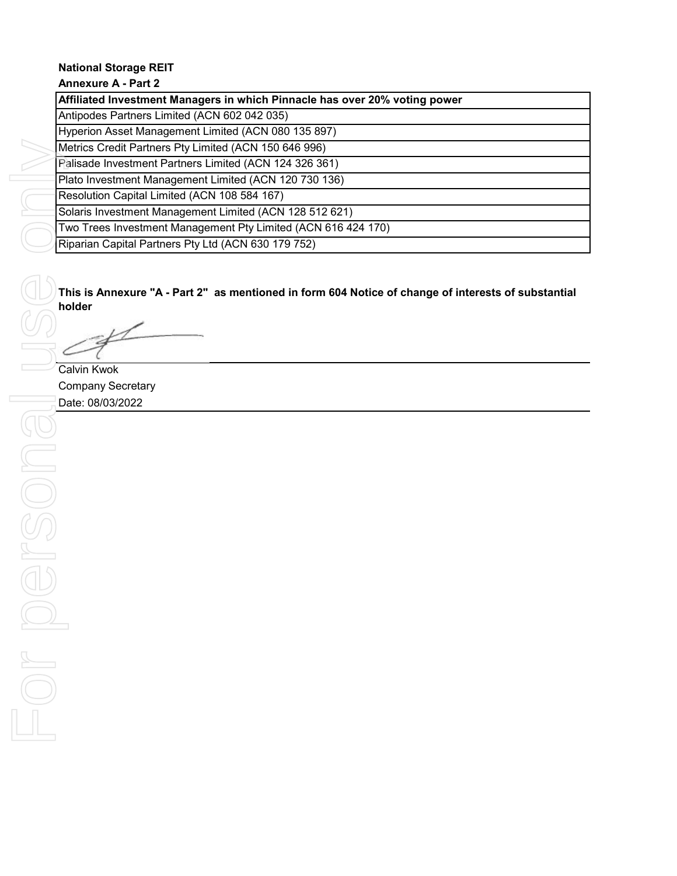## **Annexure A - Part 2**

| Affiliated Investment Managers in which Pinnacle has over 20% voting power |
|----------------------------------------------------------------------------|
| Antipodes Partners Limited (ACN 602 042 035)                               |
| Hyperion Asset Management Limited (ACN 080 135 897)                        |
| Metrics Credit Partners Pty Limited (ACN 150 646 996)                      |
| Palisade Investment Partners Limited (ACN 124 326 361)                     |
| Plato Investment Management Limited (ACN 120 730 136)                      |
| Resolution Capital Limited (ACN 108 584 167)                               |
| Solaris Investment Management Limited (ACN 128 512 621)                    |
| Two Trees Investment Management Pty Limited (ACN 616 424 170)              |
| Riparian Capital Partners Pty Ltd (ACN 630 179 752)                        |

**This is Annexure "A - Part 2" as mentioned in form 604 Notice of change of interests of substantial holder**

Calvin Kwok Company Secretary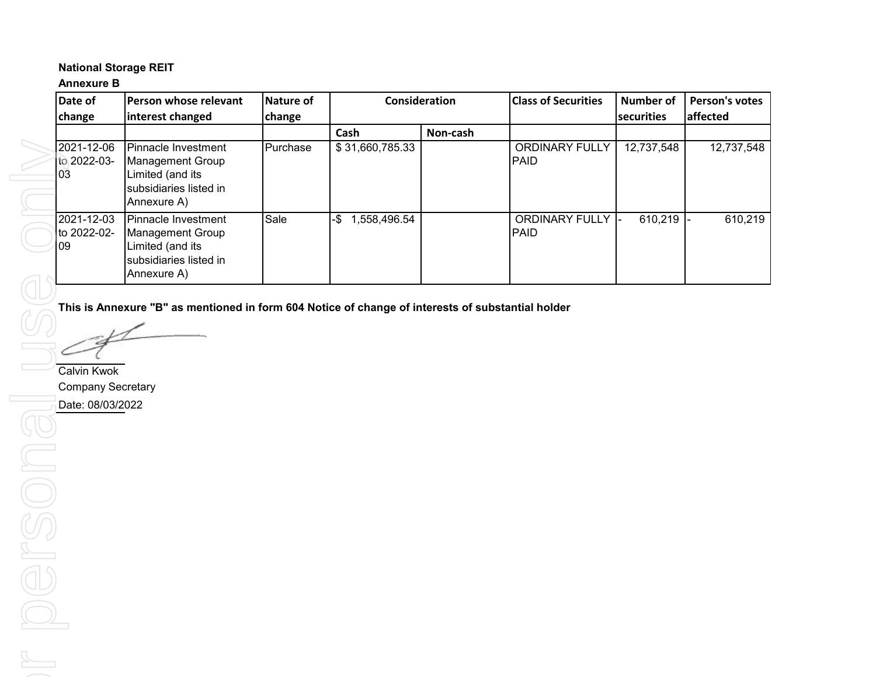## **Annexure B**

| Date of                          | <b>IPerson whose relevant</b>                                                                                | Nature of |                     | Consideration | <b>Class of Securities</b>           | Number of          | <b>Person's votes</b> |
|----------------------------------|--------------------------------------------------------------------------------------------------------------|-----------|---------------------|---------------|--------------------------------------|--------------------|-----------------------|
| change                           | interest changed                                                                                             | change    |                     |               |                                      | <b>Isecurities</b> | affected              |
|                                  |                                                                                                              |           | Cash                | Non-cash      |                                      |                    |                       |
| 2021-12-06<br>to 2022-03-<br>I03 | <b>IPinnacle Investment</b><br>Management Group<br>Limited (and its<br>subsidiaries listed in<br>Annexure A) | Purchase  | \$31,660,785.33     |               | <b>ORDINARY FULLY</b><br><b>PAID</b> | 12,737,548         | 12,737,548            |
| 2021-12-03<br>to 2022-02-<br>l09 | Pinnacle Investment<br><b>Management Group</b><br>Limited (and its<br>subsidiaries listed in<br>Annexure A)  | Sale      | 1,558,496.54<br>-\$ |               | <b>ORDINARY FULLY</b><br><b>PAID</b> | 610.219            | 610,219               |

**This is Annexure "B" as mentioned in form 604 Notice of change of interests of substantial holder**

Calvin Kwok Company Secretary Date: 08/03/2022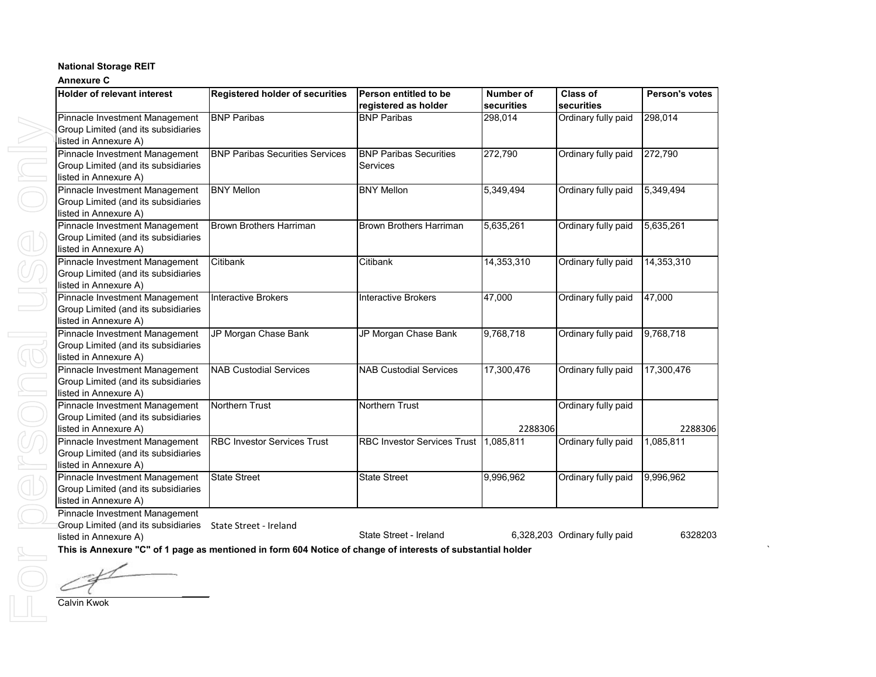#### **Annexure C**

| <b>Holder of relevant interest</b>  | <b>Registered holder of securities</b> | Person entitled to be              | <b>Number of</b> | <b>Class of</b>     | Person's votes |
|-------------------------------------|----------------------------------------|------------------------------------|------------------|---------------------|----------------|
|                                     |                                        | registered as holder               | securities       | securities          |                |
| Pinnacle Investment Management      | <b>BNP Paribas</b>                     | <b>BNP Paribas</b>                 | 298,014          | Ordinary fully paid | 298,014        |
| Group Limited (and its subsidiaries |                                        |                                    |                  |                     |                |
| listed in Annexure A)               |                                        |                                    |                  |                     |                |
| Pinnacle Investment Management      | <b>BNP Paribas Securities Services</b> | <b>BNP Paribas Securities</b>      | 272,790          | Ordinary fully paid | 272,790        |
| Group Limited (and its subsidiaries |                                        | <b>Services</b>                    |                  |                     |                |
| listed in Annexure A)               |                                        |                                    |                  |                     |                |
| Pinnacle Investment Management      | <b>BNY Mellon</b>                      | <b>BNY Mellon</b>                  | 5,349,494        | Ordinary fully paid | 5,349,494      |
| Group Limited (and its subsidiaries |                                        |                                    |                  |                     |                |
| listed in Annexure A)               |                                        |                                    |                  |                     |                |
| Pinnacle Investment Management      | <b>Brown Brothers Harriman</b>         | <b>Brown Brothers Harriman</b>     | 5,635,261        | Ordinary fully paid | 5,635,261      |
| Group Limited (and its subsidiaries |                                        |                                    |                  |                     |                |
| listed in Annexure A)               |                                        |                                    |                  |                     |                |
| Pinnacle Investment Management      | Citibank                               | Citibank                           | 14,353,310       | Ordinary fully paid | 14,353,310     |
| Group Limited (and its subsidiaries |                                        |                                    |                  |                     |                |
| listed in Annexure A)               |                                        |                                    |                  |                     |                |
| Pinnacle Investment Management      | <b>Interactive Brokers</b>             | <b>Interactive Brokers</b>         | 47,000           | Ordinary fully paid | 47,000         |
| Group Limited (and its subsidiaries |                                        |                                    |                  |                     |                |
| listed in Annexure A)               |                                        |                                    |                  |                     |                |
| Pinnacle Investment Management      | JP Morgan Chase Bank                   | JP Morgan Chase Bank               | 9,768,718        | Ordinary fully paid | 9,768,718      |
| Group Limited (and its subsidiaries |                                        |                                    |                  |                     |                |
| listed in Annexure A)               |                                        |                                    |                  |                     |                |
| Pinnacle Investment Management      | <b>NAB Custodial Services</b>          | <b>NAB Custodial Services</b>      | 17,300,476       | Ordinary fully paid | 17,300,476     |
| Group Limited (and its subsidiaries |                                        |                                    |                  |                     |                |
| listed in Annexure A)               |                                        |                                    |                  |                     |                |
| Pinnacle Investment Management      | Northern Trust                         | <b>Northern Trust</b>              |                  | Ordinary fully paid |                |
| Group Limited (and its subsidiaries |                                        |                                    |                  |                     |                |
| listed in Annexure A)               |                                        |                                    | 2288306          |                     | 2288306        |
| Pinnacle Investment Management      | <b>RBC Investor Services Trust</b>     | <b>RBC Investor Services Trust</b> | 1,085,811        | Ordinary fully paid | 1,085,811      |
| Group Limited (and its subsidiaries |                                        |                                    |                  |                     |                |
| listed in Annexure A)               |                                        |                                    |                  |                     |                |
| Pinnacle Investment Management      | <b>State Street</b>                    | <b>State Street</b>                | 9,996,962        | Ordinary fully paid | 9,996,962      |
| Group Limited (and its subsidiaries |                                        |                                    |                  |                     |                |
| listed in Annexure A)               |                                        |                                    |                  |                     |                |
| Pinnacle Investment Management      |                                        |                                    |                  |                     |                |

Group Limited (and its subsidiaries State Street - Ireland

listed in Annexure A)

State Street - Ireland 6,328,203 Ordinary fully paid 6328203

**This is Annexure "C" of 1 page as mentioned in form 604 Notice of change of interests of substantial holder** `

Calvin Kwok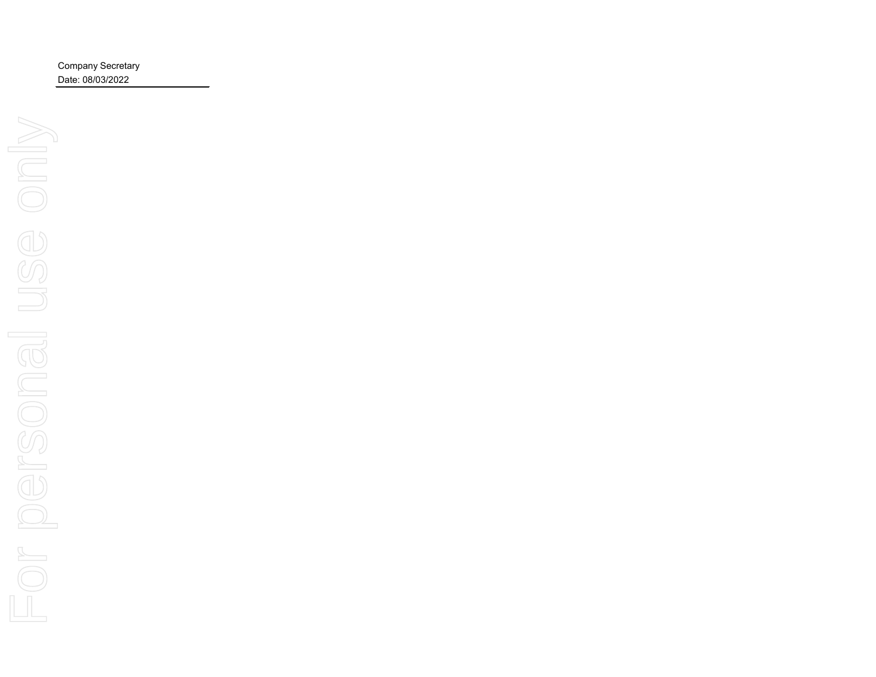Company Secretary Date: 08/03/2022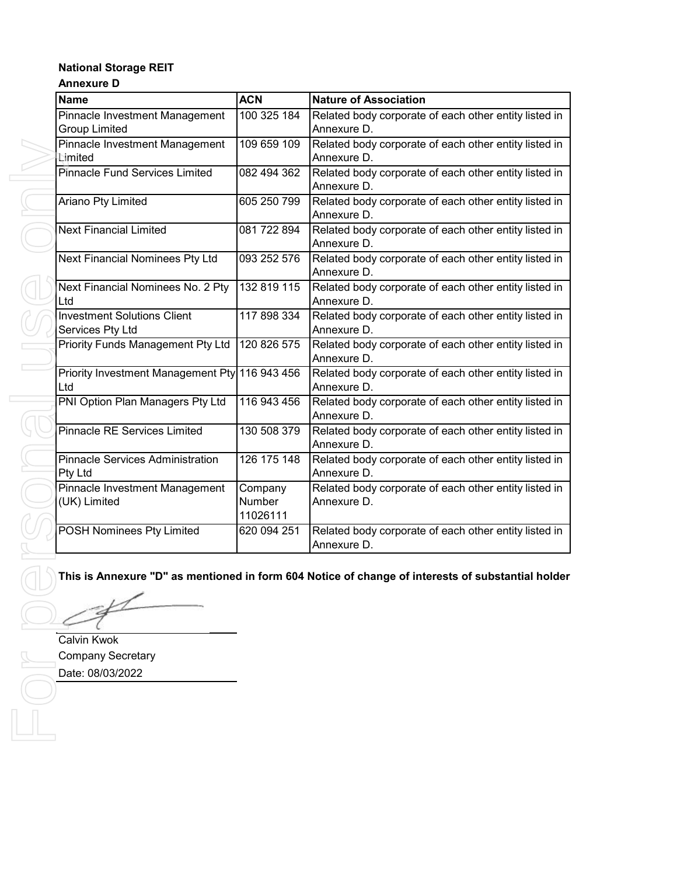## **Annexure D**

| <b>Name</b>                                            | <b>ACN</b>                    | <b>Nature of Association</b>                                         |
|--------------------------------------------------------|-------------------------------|----------------------------------------------------------------------|
| Pinnacle Investment Management<br><b>Group Limited</b> | 100 325 184                   | Related body corporate of each other entity listed in<br>Annexure D. |
| Pinnacle Investment Management<br>Limited              | 109 659 109                   | Related body corporate of each other entity listed in<br>Annexure D. |
| Pinnacle Fund Services Limited                         | 082 494 362                   | Related body corporate of each other entity listed in<br>Annexure D. |
| Ariano Pty Limited                                     | 605 250 799                   | Related body corporate of each other entity listed in<br>Annexure D. |
| <b>Next Financial Limited</b>                          | 081 722 894                   | Related body corporate of each other entity listed in<br>Annexure D. |
| Next Financial Nominees Pty Ltd                        | 093 252 576                   | Related body corporate of each other entity listed in<br>Annexure D. |
| Next Financial Nominees No. 2 Pty<br>Ltd               | 132 819 115                   | Related body corporate of each other entity listed in<br>Annexure D. |
| <b>Investment Solutions Client</b><br>Services Pty Ltd | 117 898 334                   | Related body corporate of each other entity listed in<br>Annexure D. |
| <b>Priority Funds Management Pty Ltd</b>               | 120 826 575                   | Related body corporate of each other entity listed in<br>Annexure D. |
| Priority Investment Management Pty 116 943 456<br>Ltd  |                               | Related body corporate of each other entity listed in<br>Annexure D. |
| PNI Option Plan Managers Pty Ltd                       | 116 943 456                   | Related body corporate of each other entity listed in<br>Annexure D. |
| <b>Pinnacle RE Services Limited</b>                    | 130 508 379                   | Related body corporate of each other entity listed in<br>Annexure D. |
| <b>Pinnacle Services Administration</b><br>Pty Ltd     | 126 175 148                   | Related body corporate of each other entity listed in<br>Annexure D. |
| Pinnacle Investment Management<br>(UK) Limited         | Company<br>Number<br>11026111 | Related body corporate of each other entity listed in<br>Annexure D. |
| <b>POSH</b> Nominees Pty Limited                       | 620 094 251                   | Related body corporate of each other entity listed in<br>Annexure D. |

## **This is Annexure "D" as mentioned in form 604 Notice of change of interests of substantial holder**